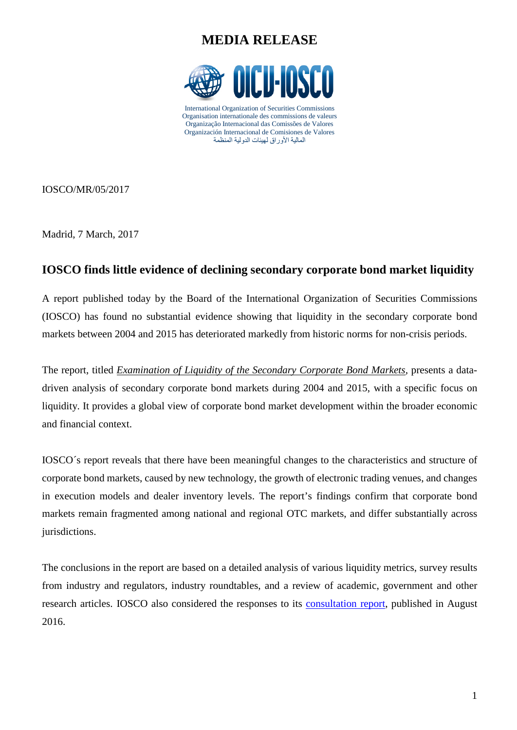## **MEDIA RELEASE**



Organisation internationale des commissions de valeurs Organização Internacional das Comissões de Valores Organización Internacional de Comisiones de Valores المالیة الأوراق لھیئات الدولیة المنظمة

IOSCO/MR/05/2017

Madrid, 7 March, 2017

#### **IOSCO finds little evidence of declining secondary corporate bond market liquidity**

A report published today by the Board of the International Organization of Securities Commissions (IOSCO) has found no substantial evidence showing that liquidity in the secondary corporate bond markets between 2004 and 2015 has deteriorated markedly from historic norms for non-crisis periods.

The report, titled *[Examination of Liquidity of the Secondary Corporate Bond Markets,](http://www.iosco.org/library/pubdocs/pdf/IOSCOPD558.pdf)* presents a datadriven analysis of secondary corporate bond markets during 2004 and 2015, with a specific focus on liquidity. It provides a global view of corporate bond market development within the broader economic and financial context.

IOSCO´s report reveals that there have been meaningful changes to the characteristics and structure of corporate bond markets, caused by new technology, the growth of electronic trading venues, and changes in execution models and dealer inventory levels. The report's findings confirm that corporate bond markets remain fragmented among national and regional OTC markets, and differ substantially across jurisdictions.

The conclusions in the report are based on a detailed analysis of various liquidity metrics, survey results from industry and regulators, industry roundtables, and a review of academic, government and other research articles. IOSCO also considered the responses to its [consultation report,](http://www.iosco.org/library/pubdocs/pdf/IOSCOPD537.pdf) published in August 2016.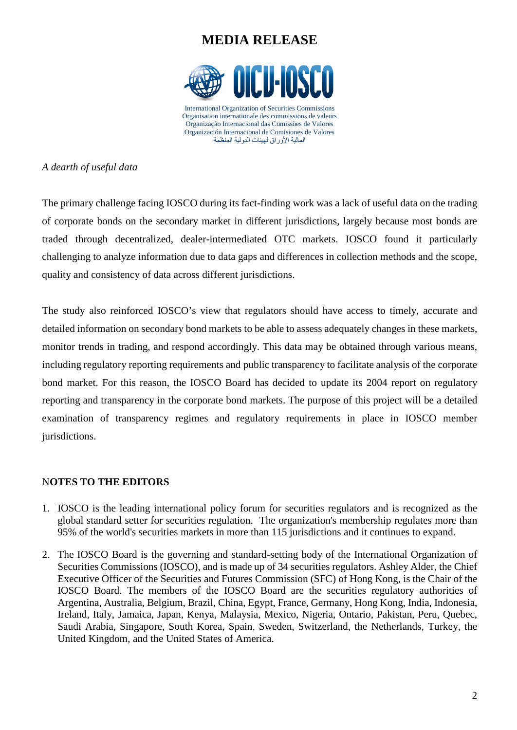## **MEDIA RELEASE**



*A dearth of useful data* 

The primary challenge facing IOSCO during its fact-finding work was a lack of useful data on the trading of corporate bonds on the secondary market in different jurisdictions, largely because most bonds are traded through decentralized, dealer-intermediated OTC markets. IOSCO found it particularly challenging to analyze information due to data gaps and differences in collection methods and the scope, quality and consistency of data across different jurisdictions.

The study also reinforced IOSCO's view that regulators should have access to timely, accurate and detailed information on secondary bond markets to be able to assess adequately changes in these markets, monitor trends in trading, and respond accordingly. This data may be obtained through various means, including regulatory reporting requirements and public transparency to facilitate analysis of the corporate bond market. For this reason, the IOSCO Board has decided to update its 2004 report on regulatory reporting and transparency in the corporate bond markets. The purpose of this project will be a detailed examination of transparency regimes and regulatory requirements in place in IOSCO member jurisdictions.

#### N**OTES TO THE EDITORS**

- 1. IOSCO is the leading international policy forum for securities regulators and is recognized as the global standard setter for securities regulation. The organization's membership regulates more than 95% of the world's securities markets in more than 115 jurisdictions and it continues to expand.
- 2. The IOSCO Board is the governing and standard-setting body of the International Organization of Securities Commissions (IOSCO), and is made up of 34 securities regulators. Ashley Alder, the Chief Executive Officer of the Securities and Futures Commission (SFC) of Hong Kong, is the Chair of the IOSCO Board. The members of the IOSCO Board are the securities regulatory authorities of Argentina, Australia, Belgium, Brazil, China, Egypt, France, Germany, Hong Kong, India, Indonesia, Ireland, Italy, Jamaica, Japan, Kenya, Malaysia, Mexico, Nigeria, Ontario, Pakistan, Peru, Quebec, Saudi Arabia, Singapore, South Korea, Spain, Sweden, Switzerland, the Netherlands, Turkey, the United Kingdom, and the United States of America.